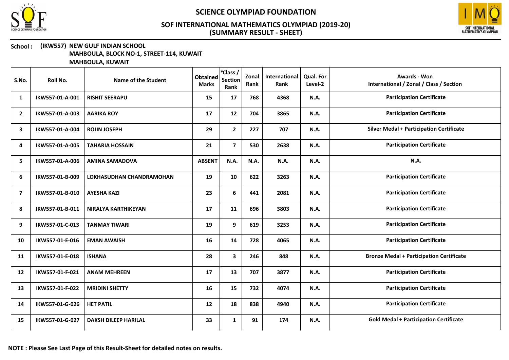



#### School : (IKW557) NEW GULF INDIAN SCHOOL MAHBOULA, BLOCK NO-1, STREET-114, KUWAIT

| S.No.          | Roll No.        | Name of the Student         | <b>Obtained</b><br><b>Marks</b> | *Class /<br><b>Section</b><br>Rank | Zonal<br>Rank | International<br>Rank | <b>Qual. For</b><br>Level-2 | <b>Awards - Won</b><br>International / Zonal / Class / Section |
|----------------|-----------------|-----------------------------|---------------------------------|------------------------------------|---------------|-----------------------|-----------------------------|----------------------------------------------------------------|
| 1              | IKW557-01-A-001 | <b>RISHIT SEERAPU</b>       | 15                              | 17                                 | 768           | 4368                  | N.A.                        | <b>Participation Certificate</b>                               |
| $\overline{2}$ | IKW557-01-A-003 | <b>AARIKA ROY</b>           | 17                              | 12                                 | 704           | 3865                  | <b>N.A.</b>                 | <b>Participation Certificate</b>                               |
| 3              | IKW557-01-A-004 | <b>ROJIN JOSEPH</b>         | 29                              | $\mathbf{2}$                       | 227           | 707                   | N.A.                        | <b>Silver Medal + Participation Certificate</b>                |
| 4              | IKW557-01-A-005 | <b>TAHARIA HOSSAIN</b>      | 21                              | $\overline{\mathbf{z}}$            | 530           | 2638                  | <b>N.A.</b>                 | <b>Participation Certificate</b>                               |
| 5              | IKW557-01-A-006 | <b>AMINA SAMADOVA</b>       | <b>ABSENT</b>                   | N.A.                               | N.A.          | N.A.                  | <b>N.A.</b>                 | N.A.                                                           |
| 6              | IKW557-01-B-009 | LOKHASUDHAN CHANDRAMOHAN    | 19                              | 10                                 | 622           | 3263                  | N.A.                        | <b>Participation Certificate</b>                               |
| $\overline{7}$ | IKW557-01-B-010 | <b>AYESHA KAZI</b>          | 23                              | 6                                  | 441           | 2081                  | N.A.                        | <b>Participation Certificate</b>                               |
| 8              | IKW557-01-B-011 | <b>NIRALYA KARTHIKEYAN</b>  | 17                              | 11                                 | 696           | 3803                  | <b>N.A.</b>                 | <b>Participation Certificate</b>                               |
| 9              | IKW557-01-C-013 | <b>TANMAY TIWARI</b>        | 19                              | 9                                  | 619           | 3253                  | N.A.                        | <b>Participation Certificate</b>                               |
| 10             | IKW557-01-E-016 | <b>EMAN AWAISH</b>          | 16                              | 14                                 | 728           | 4065                  | N.A.                        | <b>Participation Certificate</b>                               |
| 11             | IKW557-01-E-018 | <b>ISHANA</b>               | 28                              | $\overline{\mathbf{3}}$            | 246           | 848                   | <b>N.A.</b>                 | <b>Bronze Medal + Participation Certificate</b>                |
| 12             | IKW557-01-F-021 | <b>ANAM MEHREEN</b>         | 17                              | 13                                 | 707           | 3877                  | <b>N.A.</b>                 | <b>Participation Certificate</b>                               |
| 13             | IKW557-01-F-022 | <b>MRIDINI SHETTY</b>       | 16                              | 15                                 | 732           | 4074                  | N.A.                        | <b>Participation Certificate</b>                               |
| 14             | IKW557-01-G-026 | <b>HET PATIL</b>            | 12                              | 18                                 | 838           | 4940                  | N.A.                        | <b>Participation Certificate</b>                               |
| 15             | IKW557-01-G-027 | <b>DAKSH DILEEP HARILAL</b> | 33                              | $\mathbf{1}$                       | 91            | 174                   | N.A.                        | <b>Gold Medal + Participation Certificate</b>                  |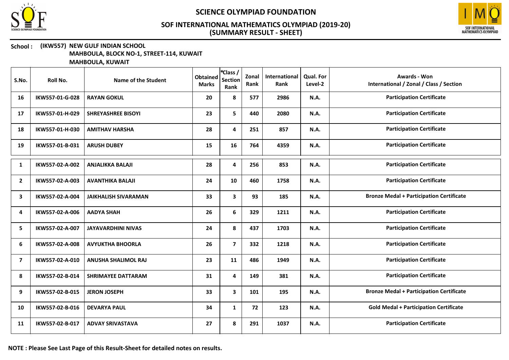



#### School : (IKW557) NEW GULF INDIAN SCHOOL MAHBOULA, BLOCK NO-1, STREET-114, KUWAIT

| S.No.          | <b>Roll No.</b> | Name of the Student         | <b>Obtained</b><br><b>Marks</b> | *Class /<br><b>Section</b><br>Rank | Zonal<br>Rank | International<br>Rank | Qual. For<br>Level-2 | <b>Awards - Won</b><br>International / Zonal / Class / Section |
|----------------|-----------------|-----------------------------|---------------------------------|------------------------------------|---------------|-----------------------|----------------------|----------------------------------------------------------------|
| 16             | IKW557-01-G-028 | <b>RAYAN GOKUL</b>          | 20                              | 8                                  | 577           | 2986                  | N.A.                 | <b>Participation Certificate</b>                               |
| 17             | IKW557-01-H-029 | <b>SHREYASHREE BISOYI</b>   | 23                              | 5                                  | 440           | 2080                  | <b>N.A.</b>          | <b>Participation Certificate</b>                               |
| 18             | IKW557-01-H-030 | <b>AMITHAV HARSHA</b>       | 28                              | 4                                  | 251           | 857                   | N.A.                 | <b>Participation Certificate</b>                               |
| 19             | IKW557-01-B-031 | <b>ARUSH DUBEY</b>          | 15                              | 16                                 | 764           | 4359                  | N.A.                 | <b>Participation Certificate</b>                               |
| 1              | IKW557-02-A-002 | <b>ANJALIKKA BALAJI</b>     | 28                              | 4                                  | 256           | 853                   | N.A.                 | <b>Participation Certificate</b>                               |
| $\overline{2}$ | IKW557-02-A-003 | <b>AVANTHIKA BALAJI</b>     | 24                              | 10                                 | 460           | 1758                  | N.A.                 | <b>Participation Certificate</b>                               |
| 3              | IKW557-02-A-004 | <b>JAIKHALISH SIVARAMAN</b> | 33                              | 3                                  | 93            | 185                   | N.A.                 | <b>Bronze Medal + Participation Certificate</b>                |
| 4              | IKW557-02-A-006 | <b>AADYA SHAH</b>           | 26                              | 6                                  | 329           | 1211                  | N.A.                 | <b>Participation Certificate</b>                               |
| 5              | IKW557-02-A-007 | <b>JAYAVARDHINI NIVAS</b>   | 24                              | 8                                  | 437           | 1703                  | <b>N.A.</b>          | <b>Participation Certificate</b>                               |
| 6              | IKW557-02-A-008 | <b>AVYUKTHA BHOORLA</b>     | 26                              | $\overline{7}$                     | 332           | 1218                  | N.A.                 | <b>Participation Certificate</b>                               |
| 7              | IKW557-02-A-010 | <b>ANUSHA SHALIMOL RAJ</b>  | 23                              | 11                                 | 486           | 1949                  | N.A.                 | <b>Participation Certificate</b>                               |
| 8              | IKW557-02-B-014 | <b>SHRIMAYEE DATTARAM</b>   | 31                              | 4                                  | 149           | 381                   | N.A.                 | <b>Participation Certificate</b>                               |
| 9              | IKW557-02-B-015 | <b>JERON JOSEPH</b>         | 33                              | 3                                  | 101           | 195                   | N.A.                 | <b>Bronze Medal + Participation Certificate</b>                |
| 10             | IKW557-02-B-016 | <b>DEVARYA PAUL</b>         | 34                              | $\mathbf{1}$                       | 72            | 123                   | N.A.                 | <b>Gold Medal + Participation Certificate</b>                  |
| 11             | IKW557-02-B-017 | <b>ADVAY SRIVASTAVA</b>     | 27                              | 8                                  | 291           | 1037                  | N.A.                 | <b>Participation Certificate</b>                               |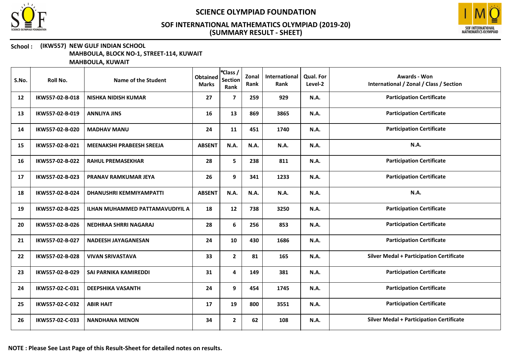



#### School : (IKW557) NEW GULF INDIAN SCHOOL MAHBOULA, BLOCK NO-1, STREET-114, KUWAIT

| S.No. | Roll No.        | Name of the Student                    | <b>Obtained</b><br><b>Marks</b> | *Class /<br><b>Section</b><br>Rank | Zonal<br>Rank | International<br>Rank | <b>Qual. For</b><br>Level-2 | Awards - Won<br>International / Zonal / Class / Section |
|-------|-----------------|----------------------------------------|---------------------------------|------------------------------------|---------------|-----------------------|-----------------------------|---------------------------------------------------------|
| 12    | IKW557-02-B-018 | <b>NISHKA NIDISH KUMAR</b>             | 27                              | $\overline{7}$                     | 259           | 929                   | N.A.                        | <b>Participation Certificate</b>                        |
| 13    | IKW557-02-B-019 | <b>ANNLIYA JINS</b>                    | 16                              | 13                                 | 869           | 3865                  | <b>N.A.</b>                 | <b>Participation Certificate</b>                        |
| 14    | IKW557-02-B-020 | <b>MADHAV MANU</b>                     | 24                              | 11                                 | 451           | 1740                  | <b>N.A.</b>                 | <b>Participation Certificate</b>                        |
| 15    | IKW557-02-B-021 | MEENAKSHI PRABEESH SREEJA              | <b>ABSENT</b>                   | N.A.                               | N.A.          | N.A.                  | N.A.                        | N.A.                                                    |
| 16    | IKW557-02-B-022 | <b>RAHUL PREMASEKHAR</b>               | 28                              | 5                                  | 238           | 811                   | <b>N.A.</b>                 | <b>Participation Certificate</b>                        |
| 17    | IKW557-02-B-023 | PRANAV RAMKUMAR JEYA                   | 26                              | 9                                  | 341           | 1233                  | <b>N.A.</b>                 | <b>Participation Certificate</b>                        |
| 18    | IKW557-02-B-024 | <b>DHANUSHRI KEMMIYAMPATTI</b>         | <b>ABSENT</b>                   | N.A.                               | N.A.          | N.A.                  | <b>N.A.</b>                 | N.A.                                                    |
| 19    | IKW557-02-B-025 | <b>ILHAN MUHAMMED PATTAMAVUDIYIL A</b> | 18                              | 12                                 | 738           | 3250                  | <b>N.A.</b>                 | <b>Participation Certificate</b>                        |
| 20    | IKW557-02-B-026 | <b>NEDHRAA SHRRI NAGARAJ</b>           | 28                              | 6                                  | 256           | 853                   | N.A.                        | <b>Participation Certificate</b>                        |
| 21    | IKW557-02-B-027 | <b>NADEESH JAYAGANESAN</b>             | 24                              | 10                                 | 430           | 1686                  | N.A.                        | <b>Participation Certificate</b>                        |
| 22    | IKW557-02-B-028 | <b>VIVAN SRIVASTAVA</b>                | 33                              | $\mathbf{2}$                       | 81            | 165                   | N.A.                        | <b>Silver Medal + Participation Certificate</b>         |
| 23    | IKW557-02-B-029 | SAI PARNIKA KAMIREDDI                  | 31                              | 4                                  | 149           | 381                   | N.A.                        | <b>Participation Certificate</b>                        |
| 24    | IKW557-02-C-031 | <b>DEEPSHIKA VASANTH</b>               | 24                              | 9                                  | 454           | 1745                  | N.A.                        | <b>Participation Certificate</b>                        |
| 25    | IKW557-02-C-032 | <b>ABIR HAIT</b>                       | 17                              | 19                                 | 800           | 3551                  | N.A.                        | <b>Participation Certificate</b>                        |
| 26    | IKW557-02-C-033 | <b>NANDHANA MENON</b>                  | 34                              | $\mathbf{2}$                       | 62            | 108                   | <b>N.A.</b>                 | <b>Silver Medal + Participation Certificate</b>         |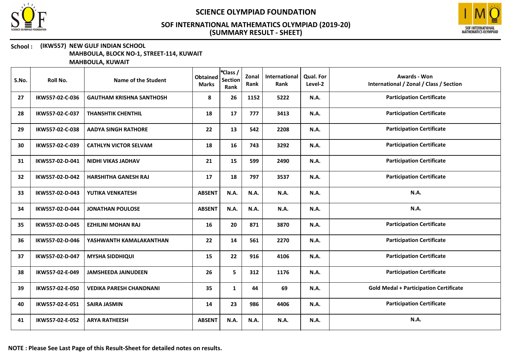



#### School : (IKW557) NEW GULF INDIAN SCHOOL MAHBOULA, BLOCK NO-1, STREET-114, KUWAIT

| S.No. | Roll No.        | Name of the Student             | <b>Obtained</b><br><b>Marks</b> | *Class /<br><b>Section</b><br>Rank | Zonal<br>Rank | International<br>Rank | <b>Qual. For</b><br>Level-2 | <b>Awards - Won</b><br>International / Zonal / Class / Section |
|-------|-----------------|---------------------------------|---------------------------------|------------------------------------|---------------|-----------------------|-----------------------------|----------------------------------------------------------------|
| 27    | IKW557-02-C-036 | <b>GAUTHAM KRISHNA SANTHOSH</b> | 8                               | 26                                 | 1152          | 5222                  | <b>N.A.</b>                 | <b>Participation Certificate</b>                               |
| 28    | IKW557-02-C-037 | <b>THANSHTIK CHENTHIL</b>       | 18                              | 17                                 | 777           | 3413                  | <b>N.A.</b>                 | <b>Participation Certificate</b>                               |
| 29    | IKW557-02-C-038 | <b>AADYA SINGH RATHORE</b>      | 22                              | 13                                 | 542           | 2208                  | <b>N.A.</b>                 | <b>Participation Certificate</b>                               |
| 30    | IKW557-02-C-039 | <b>CATHLYN VICTOR SELVAM</b>    | 18                              | 16                                 | 743           | 3292                  | <b>N.A.</b>                 | <b>Participation Certificate</b>                               |
| 31    | IKW557-02-D-041 | <b>NIDHI VIKAS JADHAV</b>       | 21                              | 15                                 | 599           | 2490                  | <b>N.A.</b>                 | <b>Participation Certificate</b>                               |
| 32    | IKW557-02-D-042 | <b>HARSHITHA GANESH RAJ</b>     | 17                              | 18                                 | 797           | 3537                  | <b>N.A.</b>                 | <b>Participation Certificate</b>                               |
| 33    | IKW557-02-D-043 | YUTIKA VENKATESH                | <b>ABSENT</b>                   | N.A.                               | N.A.          | N.A.                  | <b>N.A.</b>                 | N.A.                                                           |
| 34    | IKW557-02-D-044 | <b>JONATHAN POULOSE</b>         | <b>ABSENT</b>                   | N.A.                               | N.A.          | N.A.                  | N.A.                        | N.A.                                                           |
| 35    | IKW557-02-D-045 | <b>EZHILINI MOHAN RAJ</b>       | 16                              | 20                                 | 871           | 3870                  | <b>N.A.</b>                 | <b>Participation Certificate</b>                               |
| 36    | IKW557-02-D-046 | YASHWANTH KAMALAKANTHAN         | 22                              | 14                                 | 561           | 2270                  | N.A.                        | <b>Participation Certificate</b>                               |
| 37    | IKW557-02-D-047 | <b>MYSHA SIDDHIQUI</b>          | 15                              | 22                                 | 916           | 4106                  | <b>N.A.</b>                 | <b>Participation Certificate</b>                               |
| 38    | IKW557-02-E-049 | <b>JAMSHEEDA JAINUDEEN</b>      | 26                              | 5                                  | 312           | 1176                  | N.A.                        | <b>Participation Certificate</b>                               |
| 39    | IKW557-02-E-050 | <b>VEDIKA PARESH CHANDNANI</b>  | 35                              | $\mathbf{1}$                       | 44            | 69                    | <b>N.A.</b>                 | <b>Gold Medal + Participation Certificate</b>                  |
| 40    | IKW557-02-E-051 | <b>SAIRA JASMIN</b>             | 14                              | 23                                 | 986           | 4406                  | <b>N.A.</b>                 | <b>Participation Certificate</b>                               |
| 41    | IKW557-02-E-052 | <b>ARYA RATHEESH</b>            | <b>ABSENT</b>                   | N.A.                               | N.A.          | N.A.                  | <b>N.A.</b>                 | N.A.                                                           |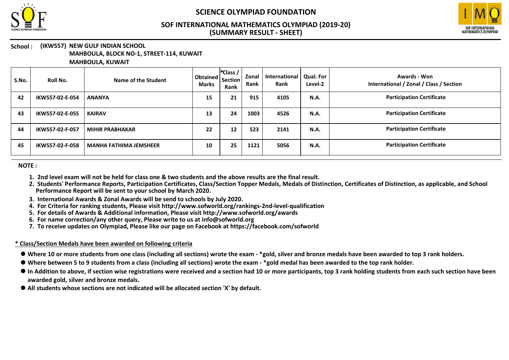



# School: (IKW557) NEW GULF INDIAN SCHOOL

MAHBOULA, BLOCK NO-1, STREET-114, KUWAIT

MAHBOULA, KUWAIT

| S.No. | Roll No.        | Name of the Student           | Obtained   Section   ~<br><b>Marks</b> | *Class /<br>Rank  | Zonal<br>Rank | International<br>Rank | Qual. For<br>Level-2 | Awards - Won<br>International / Zonal / Class / Section |
|-------|-----------------|-------------------------------|----------------------------------------|-------------------|---------------|-----------------------|----------------------|---------------------------------------------------------|
| 42    | IKW557-02-E-054 | <b>ANANYA</b>                 | 15                                     | 21                | 915           | 4105                  | <b>N.A.</b>          | <b>Participation Certificate</b>                        |
| 43    | IKW557-02-E-055 | <b>KAIRAV</b>                 | 13                                     | 24                | 1003          | 4526                  | <b>N.A.</b>          | <b>Participation Certificate</b>                        |
| 44    | IKW557-02-F-057 | <b>MIHIR PRABHAKAR</b>        | 22                                     | $12 \overline{ }$ | 523           | 2141                  | <b>N.A.</b>          | <b>Participation Certificate</b>                        |
| 45    | IKW557-02-F-058 | <b>MANHA FATHIMA JEMSHEER</b> | 10                                     | 25                | 1121          | 5056                  | <b>N.A.</b>          | <b>Participation Certificate</b>                        |

NOTE :

- 1. 2nd level exam will not be held for class one & two students and the above results are the final result.
- 2. Students' Performance Reports, Participation Certificates, Class/Section Topper Medals, Medals of Distinction, Certificates of Distinction, as applicable, and School Performance Report will be sent to your school by March 2020.
- 3. International Awards & Zonal Awards will be send to schools by July 2020.
- 4. For Criteria for ranking students, Please visit http://www.sofworld.org/rankings-2nd-level-qualification
- 5. For details of Awards & Additional information, Please visit http://www.sofworld.org/awards
- 6. For name correction/any other query, Please write to us at info@sofworld.org
- 7. To receive updates on Olympiad, Please like our page on Facebook at https://facebook.com/sofworld

#### \* Class/Section Medals have been awarded on following criteria

- Where 10 or more students from one class (including all sections) wrote the exam \*gold, silver and bronze medals have been awarded to top 3 rank holders.
- Where between 5 to 9 students from a class (including all sections) wrote the exam \*gold medal has been awarded to the top rank holder.
- $\bullet$  In Addition to above, if section wise registrations were received and a section had 10 or more participants, top 3 rank holding students from each such section have been awarded gold, silver and bronze medals.
- All students whose sections are not indicated will be allocated section 'X' by default.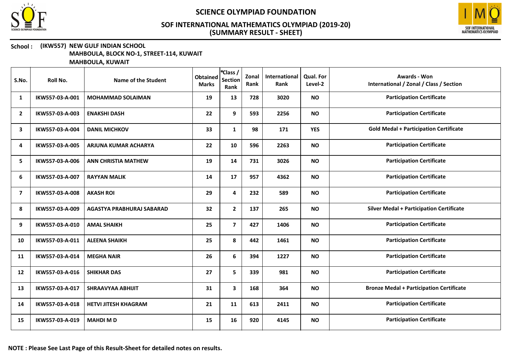



#### School : (IKW557) NEW GULF INDIAN SCHOOL MAHBOULA, BLOCK NO-1, STREET-114, KUWAIT

| S.No.          | Roll No.        | Name of the Student         | <b>Obtained</b><br><b>Marks</b> | *Class /<br><b>Section</b><br>Rank | Zonal<br>Rank | International<br>Rank | Qual. For<br>Level-2 | <b>Awards - Won</b><br>International / Zonal / Class / Section |
|----------------|-----------------|-----------------------------|---------------------------------|------------------------------------|---------------|-----------------------|----------------------|----------------------------------------------------------------|
| 1              | IKW557-03-A-001 | <b>MOHAMMAD SOLAIMAN</b>    | 19                              | 13                                 | 728           | 3020                  | <b>NO</b>            | <b>Participation Certificate</b>                               |
| $\overline{2}$ | IKW557-03-A-003 | <b>ENAKSHI DASH</b>         | 22                              | 9                                  | 593           | 2256                  | <b>NO</b>            | <b>Participation Certificate</b>                               |
| 3              | IKW557-03-A-004 | <b>DANIL MICHKOV</b>        | 33                              | $\mathbf{1}$                       | 98            | 171                   | <b>YES</b>           | <b>Gold Medal + Participation Certificate</b>                  |
| 4              | IKW557-03-A-005 | ARJUNA KUMAR ACHARYA        | 22                              | 10                                 | 596           | 2263                  | <b>NO</b>            | <b>Participation Certificate</b>                               |
| 5              | IKW557-03-A-006 | <b>ANN CHRISTIA MATHEW</b>  | 19                              | 14                                 | 731           | 3026                  | <b>NO</b>            | <b>Participation Certificate</b>                               |
| 6              | IKW557-03-A-007 | <b>RAYYAN MALIK</b>         | 14                              | 17                                 | 957           | 4362                  | <b>NO</b>            | <b>Participation Certificate</b>                               |
| 7              | IKW557-03-A-008 | <b>AKASH ROI</b>            | 29                              | 4                                  | 232           | 589                   | <b>NO</b>            | <b>Participation Certificate</b>                               |
| 8              | IKW557-03-A-009 | AGASTYA PRABHURAJ SABARAD   | 32                              | $\mathbf{2}$                       | 137           | 265                   | <b>NO</b>            | <b>Silver Medal + Participation Certificate</b>                |
| 9              | IKW557-03-A-010 | <b>AMAL SHAIKH</b>          | 25                              | $\overline{7}$                     | 427           | 1406                  | <b>NO</b>            | <b>Participation Certificate</b>                               |
| 10             | IKW557-03-A-011 | <b>ALEENA SHAIKH</b>        | 25                              | 8                                  | 442           | 1461                  | <b>NO</b>            | <b>Participation Certificate</b>                               |
| 11             | IKW557-03-A-014 | <b>MEGHA NAIR</b>           | 26                              | 6                                  | 394           | 1227                  | <b>NO</b>            | <b>Participation Certificate</b>                               |
| 12             | IKW557-03-A-016 | <b>SHIKHAR DAS</b>          | 27                              | 5                                  | 339           | 981                   | <b>NO</b>            | <b>Participation Certificate</b>                               |
| 13             | IKW557-03-A-017 | <b>SHRAAVYAA ABHIJIT</b>    | 31                              | $\mathbf{3}$                       | 168           | 364                   | <b>NO</b>            | <b>Bronze Medal + Participation Certificate</b>                |
| 14             | IKW557-03-A-018 | <b>HETVI JITESH KHAGRAM</b> | 21                              | 11                                 | 613           | 2411                  | <b>NO</b>            | <b>Participation Certificate</b>                               |
| 15             | IKW557-03-A-019 | <b>MAHDIMD</b>              | 15                              | 16                                 | 920           | 4145                  | <b>NO</b>            | <b>Participation Certificate</b>                               |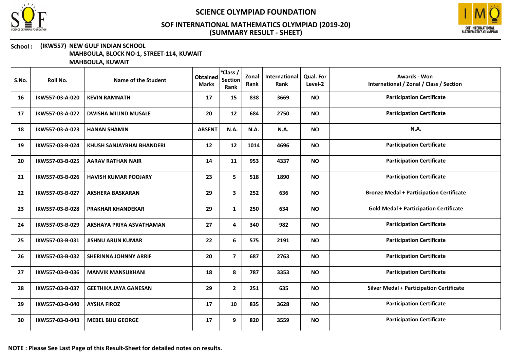



#### School : (IKW557) NEW GULF INDIAN SCHOOL MAHBOULA, BLOCK NO-1, STREET-114, KUWAIT

| S.No. | Roll No.        | Name of the Student          | <b>Obtained</b><br><b>Marks</b> | *Class /<br><b>Section</b><br>Rank | Zonal<br>Rank | International<br>Rank | <b>Qual. For</b><br>Level-2 | <b>Awards - Won</b><br>International / Zonal / Class / Section |
|-------|-----------------|------------------------------|---------------------------------|------------------------------------|---------------|-----------------------|-----------------------------|----------------------------------------------------------------|
| 16    | IKW557-03-A-020 | <b>KEVIN RAMNATH</b>         | 17                              | 15                                 | 838           | 3669                  | <b>NO</b>                   | <b>Participation Certificate</b>                               |
| 17    | IKW557-03-A-022 | <b>DWISHA MILIND MUSALE</b>  | 20                              | 12                                 | 684           | 2750                  | <b>NO</b>                   | <b>Participation Certificate</b>                               |
| 18    | IKW557-03-A-023 | <b>HANAN SHAMIN</b>          | <b>ABSENT</b>                   | N.A.                               | N.A.          | N.A.                  | <b>NO</b>                   | <b>N.A.</b>                                                    |
| 19    | IKW557-03-B-024 | KHUSH SANJAYBHAI BHANDERI    | 12                              | 12                                 | 1014          | 4696                  | <b>NO</b>                   | <b>Participation Certificate</b>                               |
| 20    | IKW557-03-B-025 | <b>AARAV RATHAN NAIR</b>     | 14                              | 11                                 | 953           | 4337                  | <b>NO</b>                   | <b>Participation Certificate</b>                               |
| 21    | IKW557-03-B-026 | <b>HAVISH KUMAR POOJARY</b>  | 23                              | 5                                  | 518           | 1890                  | <b>NO</b>                   | <b>Participation Certificate</b>                               |
| 22    | IKW557-03-B-027 | <b>AKSHERA BASKARAN</b>      | 29                              | $\mathbf{3}$                       | 252           | 636                   | <b>NO</b>                   | <b>Bronze Medal + Participation Certificate</b>                |
| 23    | IKW557-03-B-028 | <b>PRAKHAR KHANDEKAR</b>     | 29                              | $\mathbf{1}$                       | 250           | 634                   | <b>NO</b>                   | <b>Gold Medal + Participation Certificate</b>                  |
| 24    | IKW557-03-B-029 | AKSHAYA PRIYA ASVATHAMAN     | 27                              | 4                                  | 340           | 982                   | <b>NO</b>                   | <b>Participation Certificate</b>                               |
| 25    | IKW557-03-B-031 | <b>JISHNU ARUN KUMAR</b>     | 22                              | 6                                  | 575           | 2191                  | <b>NO</b>                   | <b>Participation Certificate</b>                               |
| 26    | IKW557-03-B-032 | <b>SHERINNA JOHNNY ARRIF</b> | 20                              | $\overline{7}$                     | 687           | 2763                  | <b>NO</b>                   | <b>Participation Certificate</b>                               |
| 27    | IKW557-03-B-036 | <b>MANVIK MANSUKHANI</b>     | 18                              | 8                                  | 787           | 3353                  | <b>NO</b>                   | <b>Participation Certificate</b>                               |
| 28    | IKW557-03-B-037 | <b>GEETHIKA JAYA GANESAN</b> | 29                              | $\mathbf{2}$                       | 251           | 635                   | <b>NO</b>                   | <b>Silver Medal + Participation Certificate</b>                |
| 29    | IKW557-03-B-040 | <b>AYSHA FIROZ</b>           | 17                              | 10                                 | 835           | 3628                  | <b>NO</b>                   | <b>Participation Certificate</b>                               |
| 30    | IKW557-03-B-043 | <b>MEBEL BIJU GEORGE</b>     | 17                              | 9                                  | 820           | 3559                  | <b>NO</b>                   | <b>Participation Certificate</b>                               |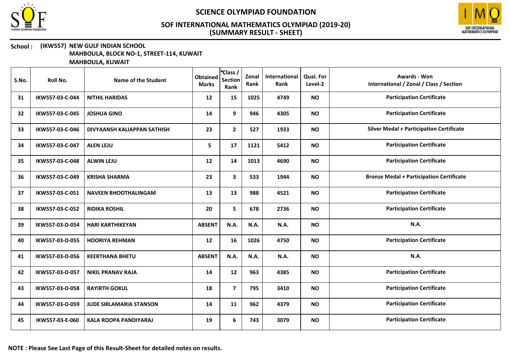



#### School : (IKW557) NEW GULF INDIAN SCHOOL MAHBOULA, BLOCK NO-1, STREET-114, KUWAIT

| S.No. | Roll No.        | Name of the Student            | <b>Obtained</b><br><b>Marks</b> | *Class /<br><b>Section</b><br>Rank | Zonal<br>Rank | International<br>Rank | Qual. For<br>Level-2 | <b>Awards - Won</b><br>International / Zonal / Class / Section |
|-------|-----------------|--------------------------------|---------------------------------|------------------------------------|---------------|-----------------------|----------------------|----------------------------------------------------------------|
| 31    | IKW557-03-C-044 | <b>NITHIL HARIDAS</b>          | 12                              | 15                                 | 1025          | 4749                  | <b>NO</b>            | <b>Participation Certificate</b>                               |
| 32    | IKW557-03-C-045 | <b>JOSHUA GINO</b>             | 14                              | 9                                  | 946           | 4305                  | <b>NO</b>            | <b>Participation Certificate</b>                               |
| 33    | IKW557-03-C-046 | DIVYAANSH KALIAPPAN SATHISH    | 23                              | $\mathbf{2}$                       | 527           | 1933                  | <b>NO</b>            | <b>Silver Medal + Participation Certificate</b>                |
| 34    | IKW557-03-C-047 | <b>ALEN LEJU</b>               | 5                               | 17                                 | 1121          | 5412                  | <b>NO</b>            | <b>Participation Certificate</b>                               |
| 35    | IKW557-03-C-048 | <b>ALWIN LEJU</b>              | 12                              | 14                                 | 1013          | 4690                  | <b>NO</b>            | <b>Participation Certificate</b>                               |
| 36    | IKW557-03-C-049 | <b>KRISHA SHARMA</b>           | 23                              | 3                                  | 533           | 1944                  | <b>NO</b>            | <b>Bronze Medal + Participation Certificate</b>                |
| 37    | IKW557-03-C-051 | <b>NAVEEN BHOOTHALINGAM</b>    | 13                              | 13                                 | 988           | 4521                  | <b>NO</b>            | <b>Participation Certificate</b>                               |
| 38    | IKW557-03-C-052 | <b>RIDIKA ROSHIL</b>           | 20                              | 5                                  | 678           | 2736                  | <b>NO</b>            | <b>Participation Certificate</b>                               |
| 39    | IKW557-03-D-054 | <b>HARI KARTHIKEYAN</b>        | <b>ABSENT</b>                   | N.A.                               | N.A.          | N.A.                  | <b>NO</b>            | N.A.                                                           |
| 40    | IKW557-03-D-055 | <b>HOORIYA REHMAN</b>          | 12                              | 16                                 | 1026          | 4750                  | <b>NO</b>            | <b>Participation Certificate</b>                               |
| 41    | IKW557-03-D-056 | <b>KEERTHANA BHETU</b>         | <b>ABSENT</b>                   | N.A.                               | N.A.          | N.A.                  | <b>NO</b>            | N.A.                                                           |
| 42    | IKW557-03-D-057 | <b>NIKIL PRANAV RAJA</b>       | 14                              | 12                                 | 963           | 4385                  | <b>NO</b>            | <b>Participation Certificate</b>                               |
| 43    | IKW557-03-D-058 | <b>RAYIRTH GOKUL</b>           | 18                              | $\overline{7}$                     | 795           | 3410                  | <b>NO</b>            | <b>Participation Certificate</b>                               |
| 44    | IKW557-03-D-059 | <b>JUDE SIRLAMARIA STANSON</b> | 14                              | 11                                 | 962           | 4379                  | <b>NO</b>            | <b>Participation Certificate</b>                               |
| 45    | IKW557-03-E-060 | <b>KALA ROOPA PANDIYARAJ</b>   | 19                              | 6                                  | 743           | 3079                  | <b>NO</b>            | <b>Participation Certificate</b>                               |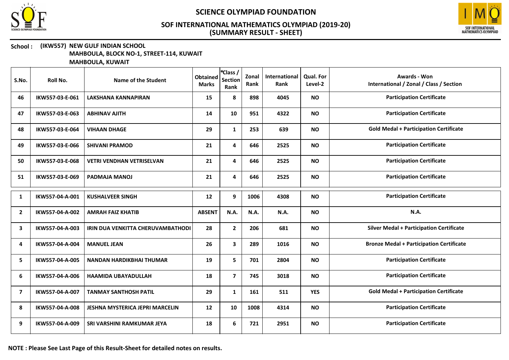



#### School : (IKW557) NEW GULF INDIAN SCHOOL MAHBOULA, BLOCK NO-1, STREET-114, KUWAIT

| S.No.          | Roll No.        | Name of the Student                    | <b>Obtained</b><br><b>Marks</b> | *Class /<br><b>Section</b><br>Rank | Zonal<br>Rank | International<br>Rank | Qual. For<br>Level-2 | <b>Awards - Won</b><br>International / Zonal / Class / Section |
|----------------|-----------------|----------------------------------------|---------------------------------|------------------------------------|---------------|-----------------------|----------------------|----------------------------------------------------------------|
| 46             | IKW557-03-E-061 | <b>LAKSHANA KANNAPIRAN</b>             | 15                              | 8                                  | 898           | 4045                  | <b>NO</b>            | <b>Participation Certificate</b>                               |
| 47             | IKW557-03-E-063 | <b>ABHINAV AJITH</b>                   | 14                              | 10                                 | 951           | 4322                  | <b>NO</b>            | <b>Participation Certificate</b>                               |
| 48             | IKW557-03-E-064 | <b>VIHAAN DHAGE</b>                    | 29                              | $\mathbf{1}$                       | 253           | 639                   | <b>NO</b>            | <b>Gold Medal + Participation Certificate</b>                  |
| 49             | IKW557-03-E-066 | <b>SHIVANI PRAMOD</b>                  | 21                              | 4                                  | 646           | 2525                  | <b>NO</b>            | <b>Participation Certificate</b>                               |
| 50             | IKW557-03-E-068 | <b>VETRI VENDHAN VETRISELVAN</b>       | 21                              | 4                                  | 646           | 2525                  | <b>NO</b>            | <b>Participation Certificate</b>                               |
| 51             | IKW557-03-E-069 | <b>PADMAJA MANOJ</b>                   | 21                              | 4                                  | 646           | 2525                  | <b>NO</b>            | <b>Participation Certificate</b>                               |
| 1              | IKW557-04-A-001 | <b>KUSHALVEER SINGH</b>                | 12                              | 9                                  | 1006          | 4308                  | <b>NO</b>            | <b>Participation Certificate</b>                               |
| $\overline{2}$ | IKW557-04-A-002 | <b>AMRAH FAIZ KHATIB</b>               | <b>ABSENT</b>                   | N.A.                               | <b>N.A.</b>   | N.A.                  | <b>NO</b>            | <b>N.A.</b>                                                    |
| 3              | IKW557-04-A-003 | IRIN DUA VENKITTA CHERUVAMBATHODI      | 28                              | $\mathbf{2}$                       | 206           | 681                   | <b>NO</b>            | <b>Silver Medal + Participation Certificate</b>                |
| 4              | IKW557-04-A-004 | <b>MANUEL JEAN</b>                     | 26                              | $\mathbf{3}$                       | 289           | 1016                  | <b>NO</b>            | <b>Bronze Medal + Participation Certificate</b>                |
| 5              | IKW557-04-A-005 | <b>NANDAN HARDIKBHAI THUMAR</b>        | 19                              | 5                                  | 701           | 2804                  | <b>NO</b>            | <b>Participation Certificate</b>                               |
| 6              | IKW557-04-A-006 | <b>HAAMIDA UBAYADULLAH</b>             | 18                              | $\overline{\mathbf{z}}$            | 745           | 3018                  | <b>NO</b>            | <b>Participation Certificate</b>                               |
| $\overline{7}$ | IKW557-04-A-007 | <b>TANMAY SANTHOSH PATIL</b>           | 29                              | $\mathbf{1}$                       | 161           | 511                   | <b>YES</b>           | <b>Gold Medal + Participation Certificate</b>                  |
| 8              | IKW557-04-A-008 | <b>JESHNA MYSTERICA JEPRI MARCELIN</b> | 12                              | 10                                 | 1008          | 4314                  | <b>NO</b>            | <b>Participation Certificate</b>                               |
| 9              | IKW557-04-A-009 | SRI VARSHINI RAMKUMAR JEYA             | 18                              | 6                                  | 721           | 2951                  | <b>NO</b>            | <b>Participation Certificate</b>                               |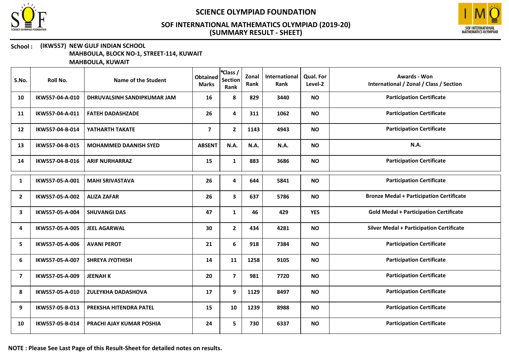



#### School : (IKW557) NEW GULF INDIAN SCHOOL MAHBOULA, BLOCK NO-1, STREET-114, KUWAIT

| S.No.          | Roll No.        | Name of the Student          | <b>Obtained</b><br><b>Marks</b> | *Class /<br><b>Section</b><br>Rank | Zonal<br>Rank | International<br>Rank | <b>Qual. For</b><br>Level-2 | <b>Awards - Won</b><br>International / Zonal / Class / Section |
|----------------|-----------------|------------------------------|---------------------------------|------------------------------------|---------------|-----------------------|-----------------------------|----------------------------------------------------------------|
| 10             | IKW557-04-A-010 | DHRUVALSINH SANDIPKUMAR JAM  | 16                              | 8                                  | 829           | 3440                  | <b>NO</b>                   | <b>Participation Certificate</b>                               |
| 11             | IKW557-04-A-011 | <b>FATEH DADASHZADE</b>      | 26                              | 4                                  | 311           | 1062                  | <b>NO</b>                   | <b>Participation Certificate</b>                               |
| 12             | IKW557-04-B-014 | YATHARTH TAKATE              | $\overline{\mathbf{z}}$         | $\overline{2}$                     | 1143          | 4943                  | <b>NO</b>                   | <b>Participation Certificate</b>                               |
| 13             | IKW557-04-B-015 | <b>MOHAMMED DAANISH SYED</b> | <b>ABSENT</b>                   | N.A.                               | N.A.          | N.A.                  | <b>NO</b>                   | N.A.                                                           |
| 14             | IKW557-04-B-016 | <b>ARIF NURHARRAZ</b>        | 15                              | $\mathbf{1}$                       | 883           | 3686                  | <b>NO</b>                   | <b>Participation Certificate</b>                               |
| 1              | IKW557-05-A-001 | <b>MAHI SRIVASTAVA</b>       | 26                              | 4                                  | 644           | 5841                  | <b>NO</b>                   | <b>Participation Certificate</b>                               |
| $\overline{2}$ | IKW557-05-A-002 | <b>ALIZA ZAFAR</b>           | 26                              | 3                                  | 637           | 5786                  | <b>NO</b>                   | <b>Bronze Medal + Participation Certificate</b>                |
| 3              | IKW557-05-A-004 | <b>SHUVANGI DAS</b>          | 47                              | 1                                  | 46            | 429                   | <b>YES</b>                  | <b>Gold Medal + Participation Certificate</b>                  |
| 4              | IKW557-05-A-005 | <b>JEEL AGARWAL</b>          | 30                              | $\overline{2}$                     | 434           | 4281                  | <b>NO</b>                   | <b>Silver Medal + Participation Certificate</b>                |
| 5              | IKW557-05-A-006 | <b>AVANI PEROT</b>           | 21                              | 6                                  | 918           | 7384                  | <b>NO</b>                   | <b>Participation Certificate</b>                               |
| 6              | IKW557-05-A-007 | <b>SHREYA JYOTHISH</b>       | 14                              | 11                                 | 1258          | 9105                  | <b>NO</b>                   | <b>Participation Certificate</b>                               |
| 7              | IKW557-05-A-009 | <b>JEENAH K</b>              | 20                              | $\overline{7}$                     | 981           | 7720                  | <b>NO</b>                   | <b>Participation Certificate</b>                               |
| 8              | IKW557-05-A-010 | ZULEYKHA DADASHOVA           | 17                              | 9                                  | 1129          | 8497                  | <b>NO</b>                   | <b>Participation Certificate</b>                               |
| 9              | IKW557-05-B-013 | PREKSHA HITENDRA PATEL       | 15                              | 10                                 | 1239          | 8988                  | <b>NO</b>                   | <b>Participation Certificate</b>                               |
| 10             | IKW557-05-B-014 | PRACHI AJAY KUMAR POSHIA     | 24                              | 5                                  | 730           | 6337                  | <b>NO</b>                   | <b>Participation Certificate</b>                               |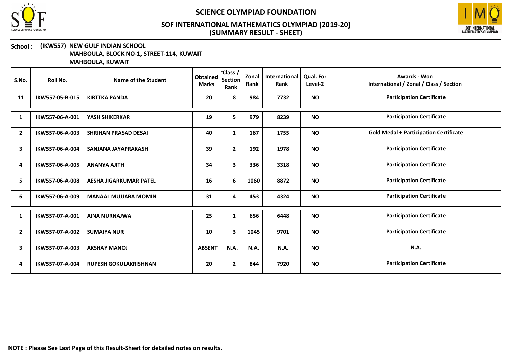



#### School : (IKW557) NEW GULF INDIAN SCHOOL MAHBOULA, BLOCK NO-1, STREET-114, KUWAIT

| S.No.          | Roll No.        | <b>Name of the Student</b>    | <b>Obtained</b><br><b>Marks</b> | *Class /<br><b>Section</b><br>Rank | Zonal<br>Rank | <b>International</b><br>Rank | <b>Qual. For</b><br>Level-2 | <b>Awards - Won</b><br>International / Zonal / Class / Section |
|----------------|-----------------|-------------------------------|---------------------------------|------------------------------------|---------------|------------------------------|-----------------------------|----------------------------------------------------------------|
| 11             | IKW557-05-B-015 | <b>KIRTTKA PANDA</b>          | 20                              | 8                                  | 984           | 7732                         | <b>NO</b>                   | <b>Participation Certificate</b>                               |
| 1              | IKW557-06-A-001 | YASH SHIKERKAR                | 19                              | 5                                  | 979           | 8239                         | <b>NO</b>                   | <b>Participation Certificate</b>                               |
| $\overline{2}$ | IKW557-06-A-003 | <b>SHRIHAN PRASAD DESAI</b>   | 40                              | $\mathbf{1}$                       | 167           | 1755                         | <b>NO</b>                   | <b>Gold Medal + Participation Certificate</b>                  |
| з              | IKW557-06-A-004 | SANJANA JAYAPRAKASH           | 39                              | $\mathbf{2}$                       | 192           | 1978                         | <b>NO</b>                   | <b>Participation Certificate</b>                               |
| 4              | IKW557-06-A-005 | <b>ANANYA AJITH</b>           | 34                              | $\overline{\mathbf{3}}$            | 336           | 3318                         | <b>NO</b>                   | <b>Participation Certificate</b>                               |
| 5              | IKW557-06-A-008 | <b>AESHA JIGARKUMAR PATEL</b> | 16                              | 6                                  | 1060          | 8872                         | <b>NO</b>                   | <b>Participation Certificate</b>                               |
| 6              | IKW557-06-A-009 | <b>MANAAL MUJJABA MOMIN</b>   | 31                              | 4                                  | 453           | 4324                         | <b>NO</b>                   | <b>Participation Certificate</b>                               |
| 1              | IKW557-07-A-001 | <b>AINA NURNAJWA</b>          | 25                              | 1                                  | 656           | 6448                         | <b>NO</b>                   | <b>Participation Certificate</b>                               |
| $\overline{2}$ | IKW557-07-A-002 | <b>SUMAIYA NUR</b>            | 10                              | 3                                  | 1045          | 9701                         | <b>NO</b>                   | <b>Participation Certificate</b>                               |
| 3              | IKW557-07-A-003 | <b>AKSHAY MANOJ</b>           | <b>ABSENT</b>                   | N.A.                               | N.A.          | N.A.                         | <b>NO</b>                   | N.A.                                                           |
| 4              | IKW557-07-A-004 | <b>RUPESH GOKULAKRISHNAN</b>  | 20                              | $\mathbf{2}$                       | 844           | 7920                         | <b>NO</b>                   | <b>Participation Certificate</b>                               |